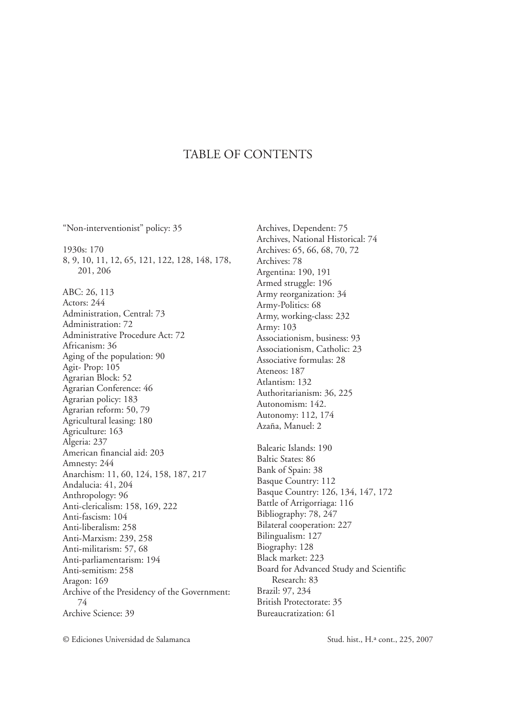"Non-interventionist" policy: 35 1930s: 170 8, 9, 10, 11, 12, 65, 121, 122, 128, 148, 178, 201, 206 ABC: 26, 113 Actors: 244 Administration, Central: 73 Administration: 72 Administrative Procedure Act: 72 Africanism: 36 Aging of the population: 90 Agit- Prop: 105 Agrarian Block: 52 Agrarian Conference: 46 Agrarian policy: 183 Agrarian reform: 50, 79 Agricultural leasing: 180 Agriculture: 163 Algeria: 237 American financial aid: 203 Amnesty: 244 Anarchism: 11, 60, 124, 158, 187, 217 Andalucia: 41, 204 Anthropology: 96 Anti-clericalism: 158, 169, 222 Anti-fascism: 104 Anti-liberalism: 258 Anti-Marxism: 239, 258 Anti-militarism: 57, 68 Anti-parliamentarism: 194 Anti-semitism: 258 Aragon: 169 Archive of the Presidency of the Government: 74 Archive Science: 39

Archives, Dependent: 75 Archives, National Historical: 74 Archives: 65, 66, 68, 70, 72 Archives: 78 Argentina: 190, 191 Armed struggle: 196 Army reorganization: 34 Army-Politics: 68 Army, working-class: 232 Army: 103 Associationism, business: 93 Associationism, Catholic: 23 Associative formulas: 28 Ateneos: 187 Atlantism: 132 Authoritarianism: 36, 225 Autonomism: 142. Autonomy: 112, 174 Azaña, Manuel: 2 Balearic Islands: 190 Baltic States: 86 Bank of Spain: 38 Basque Country: 112 Basque Country: 126, 134, 147, 172 Battle of Arrigorriaga: 116 Bibliography: 78, 247 Bilateral cooperation: 227 Bilingualism: 127 Biography: 128 Black market: 223 Board for Advanced Study and Scientific Research: 83 Brazil: 97, 234 British Protectorate: 35 Bureaucratization: 61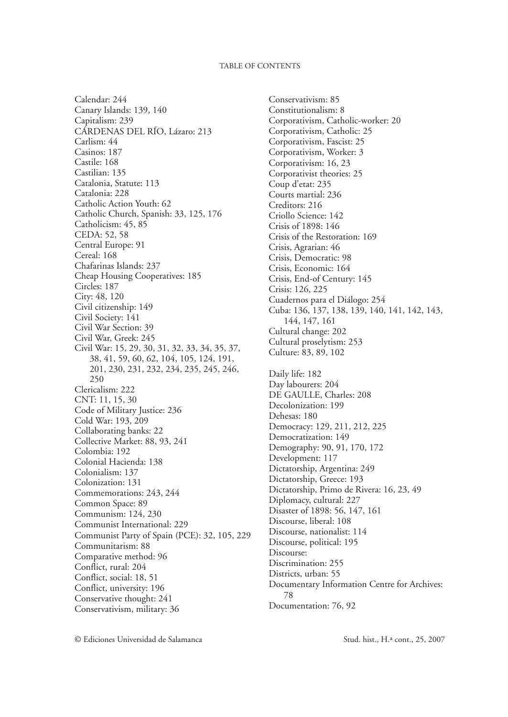Calendar: 244 Canary Islands: 139, 140 Capitalism: 239 Cárdenas del río, Lázaro: 213 Carlism: 44 Casinos: 187 Castile: 168 Castilian: 135 Catalonia, Statute: 113 Catalonia: 228 Catholic Action Youth: 62 Catholic Church, Spanish: 33, 125, 176 Catholicism: 45, 85 CEDA: 52, 58 Central Europe: 91 Cereal: 168 Chafarinas Islands: 237 Cheap Housing Cooperatives: 185 Circles: 187 City: 48, 120 Civil citizenship: 149 Civil Society: 141 Civil War Section: 39 Civil War, Greek: 245 Civil War: 15, 29, 30, 31, 32, 33, 34, 35, 37, 38, 41, 59, 60, 62, 104, 105, 124, 191, 201, 230, 231, 232, 234, 235, 245, 246, 250 Clericalism: 222 CNT: 11, 15, 30 Code of Military Justice: 236 Cold War: 193, 209 Collaborating banks: 22 Collective Market: 88, 93, 241 Colombia: 192 Colonial Hacienda: 138 Colonialism: 137 Colonization: 131 Commemorations: 243, 244 Common Space: 89 Communism: 124, 230 Communist International: 229 Communist Party of Spain (PCE): 32, 105, 229 Communitarism: 88 Comparative method: 96 Conflict, rural: 204 Conflict, social: 18, 51 Conflict, university: 196 Conservative thought: 241 Conservativism, military: 36

Conservativism: 85 Constitutionalism: 8 Corporativism, Catholic-worker: 20 Corporativism, Catholic: 25 Corporativism, Fascist: 25 Corporativism, Worker: 3 Corporativism: 16, 23 Corporativist theories: 25 Coup d'etat: 235 Courts martial: 236 Creditors: 216 Criollo Science: 142 Crisis of 1898: 146 Crisis of the Restoration: 169 Crisis, Agrarian: 46 Crisis, Democratic: 98 Crisis, Economic: 164 Crisis, End-of Century: 145 Crisis: 126, 225 Cuadernos para el Diálogo: 254 Cuba: 136, 137, 138, 139, 140, 141, 142, 143, 144, 147, 161 Cultural change: 202 Cultural proselytism: 253 Culture: 83, 89, 102 Daily life: 182 Day labourers: 204 DE GAULLE, Charles: 208 Decolonization: 199 Dehesas: 180 Democracy: 129, 211, 212, 225 Democratization: 149 Demography: 90, 91, 170, 172 Development: 117 Dictatorship, Argentina: 249 Dictatorship, Greece: 193 Dictatorship, Primo de Rivera: 16, 23, 49 Diplomacy, cultural: 227 Disaster of 1898: 56, 147, 161 Discourse, liberal: 108 Discourse, nationalist: 114 Discourse, political: 195 Discourse: Discrimination: 255 Districts, urban: 55 Documentary Information Centre for Archives: 78 Documentation: 76, 92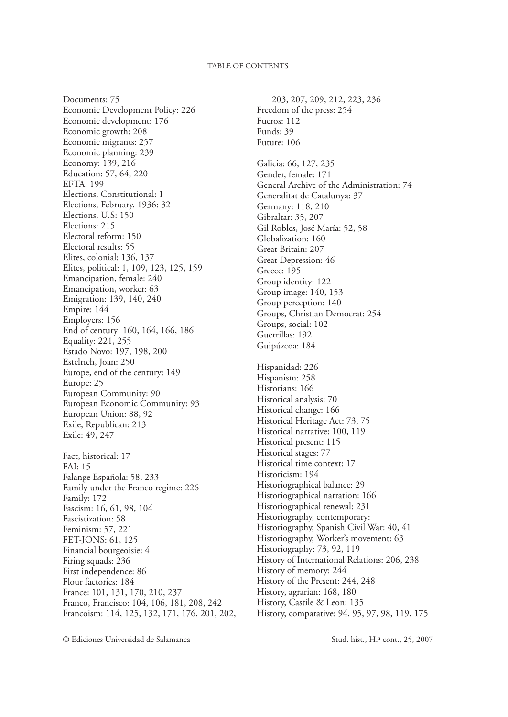Documents: 75 Economic Development Policy: 226 Economic development: 176 Economic growth: 208 Economic migrants: 257 Economic planning: 239 Economy: 139, 216 Education: 57, 64, 220 EFTA: 199 Elections, Constitutional: 1 Elections, February, 1936: 32 Elections, U.S: 150 Elections: 215 Electoral reform: 150 Electoral results: 55 Elites, colonial: 136, 137 Elites, political: 1, 109, 123, 125, 159 Emancipation, female: 240 Emancipation, worker: 63 Emigration: 139, 140, 240 Empire: 144 Employers: 156 End of century: 160, 164, 166, 186 Equality: 221, 255 Estado Novo: 197, 198, 200 Estelrich, Joan: 250 Europe, end of the century: 149 Europe: 25 European Community: 90 European Economic Community: 93 European Union: 88, 92 Exile, Republican: 213 Exile: 49, 247

Fact, historical: 17 FAI: 15 Falange Española: 58, 233 Family under the Franco regime: 226 Family: 172 Fascism: 16, 61, 98, 104 Fascistization: 58 Feminism: 57, 221 FET-JONS: 61, 125 Financial bourgeoisie: 4 Firing squads: 236 First independence: 86 Flour factories: 184 France: 101, 131, 170, 210, 237 Franco, Francisco: 104, 106, 181, 208, 242 Francoism: 114, 125, 132, 171, 176, 201, 202,

203, 207, 209, 212, 223, 236 Freedom of the press: 254 Fueros: 112 Funds: 39 Future: 106 Galicia: 66, 127, 235 Gender, female: 171 General Archive of the Administration: 74 Generalitat de Catalunya: 37 Germany: 118, 210 Gibraltar: 35, 207 Gil Robles, José María: 52, 58 Globalization: 160 Great Britain: 207 Great Depression: 46 Greece: 195 Group identity: 122 Group image: 140, 153 Group perception: 140 Groups, Christian Democrat: 254 Groups, social: 102 Guerrillas: 192 Guipúzcoa: 184 Hispanidad: 226 Hispanism: 258 Historians: 166 Historical analysis: 70 Historical change: 166 Historical Heritage Act: 73, 75 Historical narrative: 100, 119 Historical present: 115 Historical stages: 77 Historical time context: 17 Historicism: 194 Historiographical balance: 29 Historiographical narration: 166 Historiographical renewal: 231 Historiography, contemporary: Historiography, Spanish Civil War: 40, 41 Historiography, Worker's movement: 63 Historiography: 73, 92, 119 History of International Relations: 206, 238 History of memory: 244 History of the Present: 244, 248 History, agrarian: 168, 180 History, Castile & Leon: 135 History, comparative: 94, 95, 97, 98, 119, 175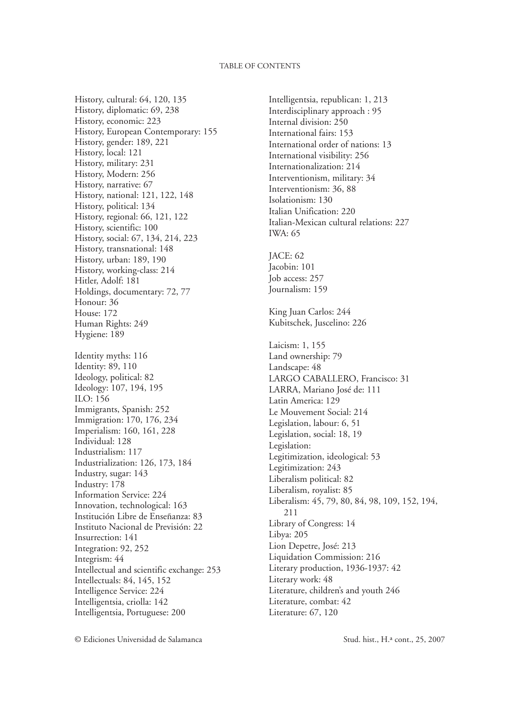History, cultural: 64, 120, 135 History, diplomatic: 69, 238 History, economic: 223 History, European Contemporary: 155 History, gender: 189, 221 History, local: 121 History, military: 231 History, Modern: 256 History, narrative: 67 History, national: 121, 122, 148 History, political: 134 History, regional: 66, 121, 122 History, scientific: 100 History, social: 67, 134, 214, 223 History, transnational: 148 History, urban: 189, 190 History, working-class: 214 Hitler, Adolf: 181 Holdings, documentary: 72, 77 Honour: 36 House: 172 Human Rights: 249 Hygiene: 189 Identity myths: 116 Identity: 89, 110 Ideology, political: 82 Ideology: 107, 194, 195 ILO: 156 Immigrants, Spanish: 252 Immigration: 170, 176, 234 Imperialism: 160, 161, 228 Individual: 128 Industrialism: 117 Industrialization: 126, 173, 184 Industry, sugar: 143 Industry: 178 Information Service: 224 Innovation, technological: 163 Institución Libre de Enseñanza: 83 Instituto Nacional de Previsión: 22 Insurrection: 141 Integration: 92, 252 Integrism: 44 Intellectual and scientific exchange: 253 Intellectuals: 84, 145, 152 Intelligence Service: 224 Intelligentsia, criolla: 142 Intelligentsia, Portuguese: 200

Intelligentsia, republican: 1, 213 Interdisciplinary approach : 95 Internal division: 250 International fairs: 153 International order of nations: 13 International visibility: 256 Internationalization: 214 Interventionism, military: 34 Interventionism: 36, 88 Isolationism: 130 Italian Unification: 220 Italian-Mexican cultural relations: 227 IWA: 65 JACE: 62 Jacobin: 101 Job access: 257 Journalism: 159 King Juan Carlos: 244 Kubitschek, Juscelino: 226 Laicism: 1, 155 Land ownership: 79 Landscape: 48 LARGO CABALLERO, Francisco: 31 LARRA, Mariano José de: 111 Latin America: 129 Le Mouvement Social: 214 Legislation, labour: 6, 51 Legislation, social: 18, 19 Legislation: Legitimization, ideological: 53 Legitimization: 243 Liberalism political: 82 Liberalism, royalist: 85 Liberalism: 45, 79, 80, 84, 98, 109, 152, 194, 211 Library of Congress: 14 Libya: 205 Lion Depetre, José: 213 Liquidation Commission: 216 Literary production, 1936-1937: 42 Literary work: 48 Literature, children's and youth 246 Literature, combat: 42 Literature: 67, 120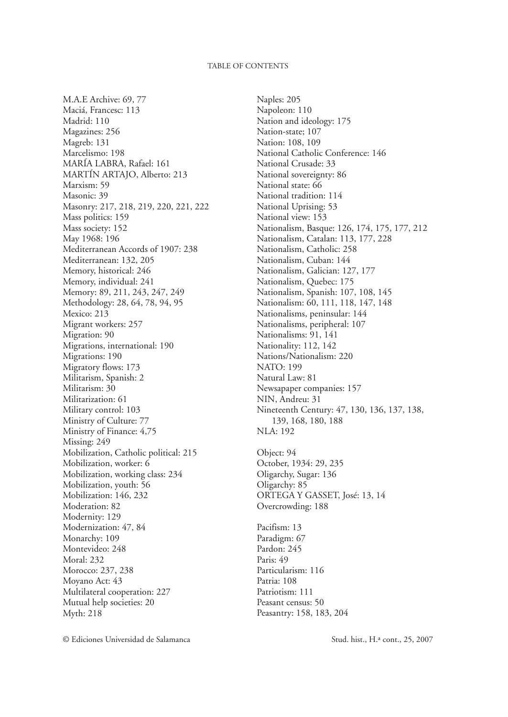M.A.E Archive: 69, 77 Maciá, Francesc: 113 Madrid: 110 Magazines: 256 Magreb: 131 Marcelismo: 198 MARÍA LABRA, Rafael: 161 MARTÍN ARTAJO, Alberto: 213 Marxism: 59 Masonic: 39 Masonry: 217, 218, 219, 220, 221, 222 Mass politics: 159 Mass society: 152 May 1968: 196 Mediterranean Accords of 1907: 238 Mediterranean: 132, 205 Memory, historical: 246 Memory, individual: 241 Memory: 89, 211, 243, 247, 249 Methodology: 28, 64, 78, 94, 95 Mexico: 213 Migrant workers: 257 Migration: 90 Migrations, international: 190 Migrations: 190 Migratory flows: 173 Militarism, Spanish: 2 Militarism: 30 Militarization: 61 Military control: 103 Ministry of Culture: 77 Ministry of Finance: 4,75 Missing: 249 Mobilization, Catholic political: 215 Mobilization, worker: 6 Mobilization, working class: 234 Mobilization, youth: 56 Mobilization: 146, 232 Moderation: 82 Modernity: 129 Modernization: 47, 84 Monarchy: 109 Montevideo: 248 Moral: 232 Morocco: 237, 238 Moyano Act: 43 Multilateral cooperation: 227 Mutual help societies: 20 Myth: 218

Naples: 205 Napoleon: 110 Nation and ideology: 175 Nation-state; 107 Nation: 108, 109 National Catholic Conference: 146 National Crusade: 33 National sovereignty: 86 National state: 66 National tradition: 114 National Uprising: 53 National view: 153 Nationalism, Basque: 126, 174, 175, 177, 212 Nationalism, Catalan: 113, 177, 228 Nationalism, Catholic: 258 Nationalism, Cuban: 144 Nationalism, Galician: 127, 177 Nationalism, Quebec: 175 Nationalism, Spanish: 107, 108, 145 Nationalism: 60, 111, 118, 147, 148 Nationalisms, peninsular: 144 Nationalisms, peripheral: 107 Nationalisms: 91, 141 Nationality: 112, 142 Nations/Nationalism: 220 NATO: 199 Natural Law: 81 Newsapaper companies: 157 NIN, Andreu: 31 Nineteenth Century: 47, 130, 136, 137, 138, 139, 168, 180, 188 NLA: 192 Object: 94 October, 1934: 29, 235 Oligarchy, Sugar: 136 Oligarchy: 85 ORTEGA Y GASSET, José: 13, 14 Overcrowding: 188

Pacifism: 13 Paradigm: 67 Pardon: 245 Paris: 49 Particularism: 116 Patria: 108 Patriotism: 111 Peasant census: 50 Peasantry: 158, 183, 204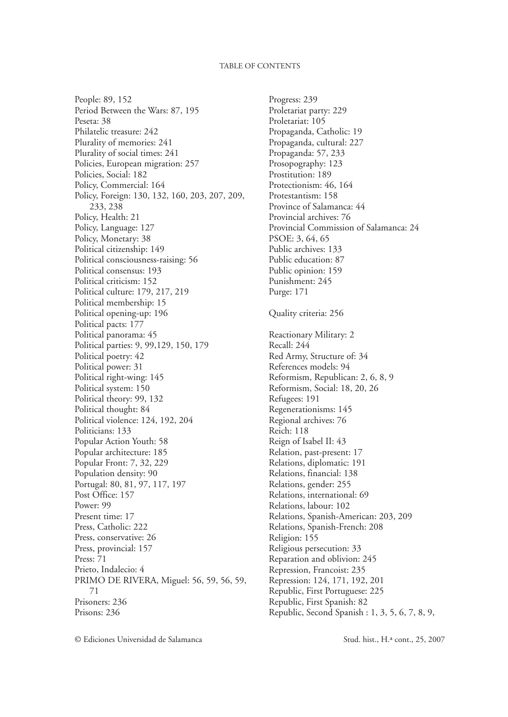People: 89, 152 Period Between the Wars: 87, 195 Peseta: 38 Philatelic treasure: 242 Plurality of memories: 241 Plurality of social times: 241 Policies, European migration: 257 Policies, Social: 182 Policy, Commercial: 164 Policy, Foreign: 130, 132, 160, 203, 207, 209, 233, 238 Policy, Health: 21 Policy, Language: 127 Policy, Monetary: 38 Political citizenship: 149 Political consciousness-raising: 56 Political consensus: 193 Political criticism: 152 Political culture: 179, 217, 219 Political membership: 15 Political opening-up: 196 Political pacts: 177 Political panorama: 45 Political parties: 9, 99,129, 150, 179 Political poetry: 42 Political power: 31 Political right-wing: 145 Political system: 150 Political theory: 99, 132 Political thought: 84 Political violence: 124, 192, 204 Politicians: 133 Popular Action Youth: 58 Popular architecture: 185 Popular Front: 7, 32, 229 Population density: 90 Portugal: 80, 81, 97, 117, 197 Post Office: 157 Power: 99 Present time: 17 Press, Catholic: 222 Press, conservative: 26 Press, provincial: 157 Press: 71 Prieto, Indalecio: 4 PRIMO DE RIVERA, Miguel: 56, 59, 56, 59, 71 Prisoners: 236 Prisons: 236

Progress: 239 Proletariat party: 229 Proletariat: 105 Propaganda, Catholic: 19 Propaganda, cultural: 227 Propaganda: 57, 233 Prosopography: 123 Prostitution: 189 Protectionism: 46, 164 Protestantism: 158 Province of Salamanca: 44 Provincial archives: 76 Provincial Commission of Salamanca: 24 PSOE: 3, 64, 65 Public archives: 133 Public education: 87 Public opinion: 159 Punishment: 245 Purge: 171 Quality criteria: 256 Reactionary Military: 2 Recall: 244 Red Army, Structure of: 34 References models: 94 Reformism, Republican: 2, 6, 8, 9 Reformism, Social: 18, 20, 26 Refugees: 191 Regenerationisms: 145 Regional archives: 76 Reich: 118 Reign of Isabel II: 43 Relation, past-present: 17 Relations, diplomatic: 191 Relations, financial: 138 Relations, gender: 255 Relations, international: 69 Relations, labour: 102 Relations, Spanish-American: 203, 209 Relations, Spanish-French: 208 Religion: 155 Religious persecution: 33 Reparation and oblivion: 245 Repression, Francoist: 235 Repression: 124, 171, 192, 201 Republic, First Portuguese: 225 Republic, First Spanish: 82 Republic, Second Spanish : 1, 3, 5, 6, 7, 8, 9,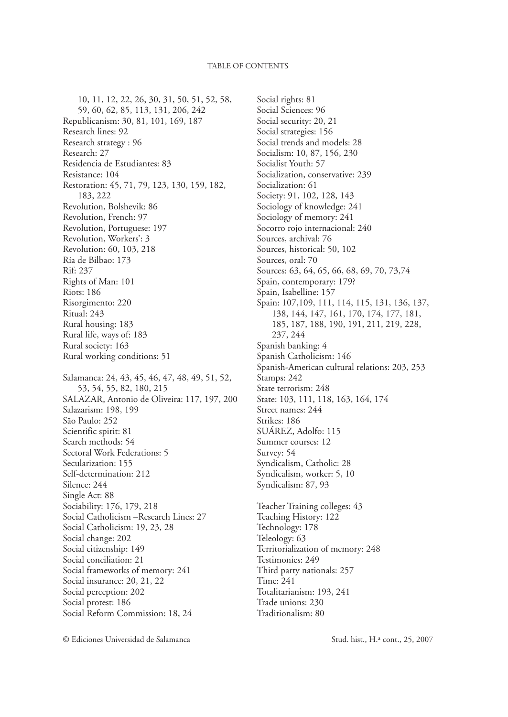10, 11, 12, 22, 26, 30, 31, 50, 51, 52, 58, 59, 60, 62, 85, 113, 131, 206, 242 Republicanism: 30, 81, 101, 169, 187 Research lines: 92 Research strategy : 96 Research: 27 Residencia de Estudiantes: 83 Resistance: 104 Restoration: 45, 71, 79, 123, 130, 159, 182, 183, 222 Revolution, Bolshevik: 86 Revolution, French: 97 Revolution, Portuguese: 197 Revolution, Workers': 3 Revolution: 60, 103, 218 Ría de Bilbao: 173 Rif: 237 Rights of Man: 101 Riots: 186 Risorgimento: 220 Ritual: 243 Rural housing: 183 Rural life, ways of: 183 Rural society: 163 Rural working conditions: 51 Salamanca: 24, 43, 45, 46, 47, 48, 49, 51, 52, 53, 54, 55, 82, 180, 215 SALAZAR, Antonio de Oliveira: 117, 197, 200 Salazarism: 198, 199 São Paulo: 252 Scientific spirit: 81 Search methods: 54 Sectoral Work Federations: 5 Secularization: 155 Self-determination: 212 Silence: 244 Single Act: 88 Sociability: 176, 179, 218 Social Catholicism –Research Lines: 27 Social Catholicism: 19, 23, 28 Social change: 202 Social citizenship: 149 Social conciliation: 21 Social frameworks of memory: 241 Social insurance: 20, 21, 22 Social perception: 202 Social protest: 186 Social Reform Commission: 18, 24

Social rights: 81 Social Sciences: 96 Social security: 20, 21 Social strategies: 156 Social trends and models: 28 Socialism: 10, 87, 156, 230 Socialist Youth: 57 Socialization, conservative: 239 Socialization: 61 Society: 91, 102, 128, 143 Sociology of knowledge: 241 Sociology of memory: 241 Socorro rojo internacional: 240 Sources, archival: 76 Sources, historical: 50, 102 Sources, oral: 70 Sources: 63, 64, 65, 66, 68, 69, 70, 73,74 Spain, contemporary: 179? Spain, Isabelline: 157 Spain: 107,109, 111, 114, 115, 131, 136, 137, 138, 144, 147, 161, 170, 174, 177, 181, 185, 187, 188, 190, 191, 211, 219, 228, 237, 244 Spanish banking: 4 Spanish Catholicism: 146 Spanish-American cultural relations: 203, 253 Stamps: 242 State terrorism: 248 State: 103, 111, 118, 163, 164, 174 Street names: 244 Strikes: 186 SUÁREZ, Adolfo: 115 Summer courses: 12 Survey: 54 Syndicalism, Catholic: 28 Syndicalism, worker: 5, 10 Syndicalism: 87, 93 Teacher Training colleges: 43 Teaching History: 122 Technology: 178 Teleology: 63 Territorialization of memory: 248 Testimonies: 249 Third party nationals: 257 Time: 241 Totalitarianism: 193, 241 Trade unions: 230 Traditionalism: 80